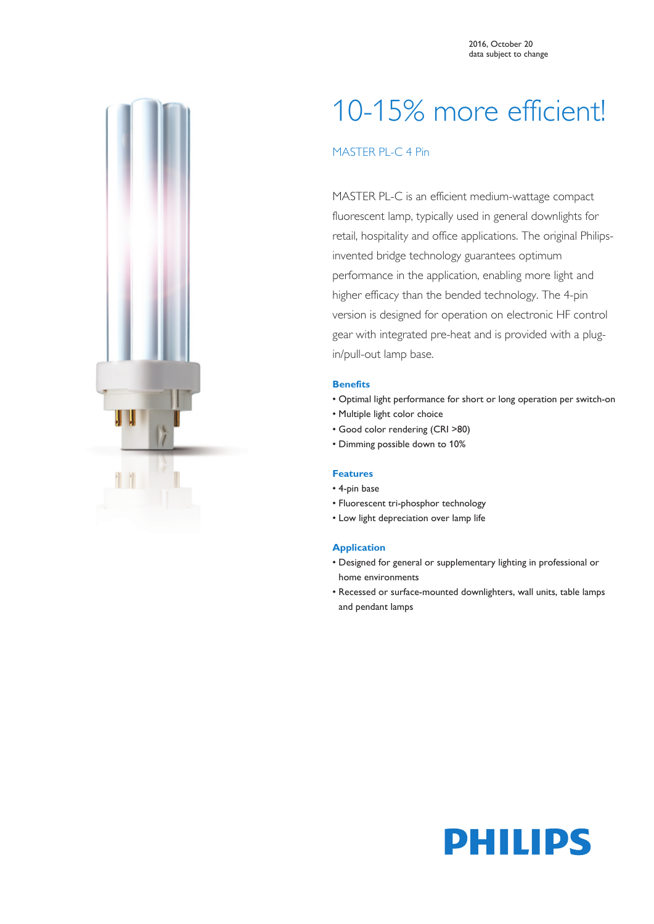

# 10-15% more efficient!

## MASTER PL-C 4 Pin

MASTER PL-C is an efficient medium-wattage compact fluorescent lamp, typically used in general downlights for retail, hospitality and office applications. The original Philipsinvented bridge technology guarantees optimum performance in the application, enabling more light and higher efficacy than the bended technology. The 4-pin version is designed for operation on electronic HF control gear with integrated pre-heat and is provided with a plugin/pull-out lamp base.

#### **Benefits**

- Optimal light performance for short or long operation per switch-on
- Multiple light color choice
- Good color rendering (CRI >80)
- Dimming possible down to 10%

#### **Features**

- 4-pin base
- Fluorescent tri-phosphor technology
- Low light depreciation over lamp life

#### **Application**

- Designed for general or supplementary lighting in professional or home environments
- Recessed or surface-mounted downlighters, wall units, table lamps and pendant lamps

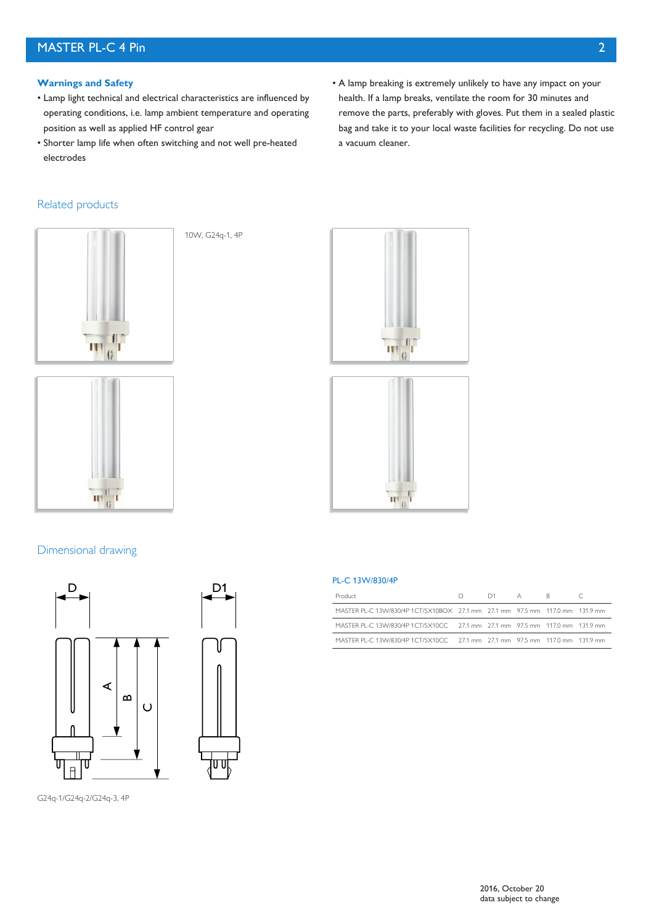## MASTER PL-C 4 Pin 2

#### **Warnings and Safety**

- Lamp light technical and electrical characteristics are influenced by operating conditions, i.e. lamp ambient temperature and operating position as well as applied HF control gear
- Shorter lamp life when often switching and not well pre-heated electrodes

10W, G24q-1, 4P

#### Related products





#### Dimensional drawing





• A lamp breaking is extremely unlikely to have any impact on your health. If a lamp breaks, ventilate the room for 30 minutes and remove the parts, preferably with gloves. Put them in a sealed plastic bag and take it to your local waste facilities for recycling. Do not use a vacuum cleaner.





#### PL-C 13W/830/4P

| Product                                                                       | $D$ $D1$ $A$ $B$ |  |  |
|-------------------------------------------------------------------------------|------------------|--|--|
| MASTER PL-C 13VV/830/4P 1CT/5X10BOX 27.1 mm 27.1 mm 97.5 mm 117.0 mm 131.9 mm |                  |  |  |
| MASTER PL-C 13W/830/4P 1CT/5X10CC 27.1 mm 27.1 mm 97.5 mm 117.0 mm 131.9 mm   |                  |  |  |
| MASTER PL-C 13W/830/4P 1CT/5X10CC 27.1 mm 27.1 mm 97.5 mm 117.0 mm 131.9 mm   |                  |  |  |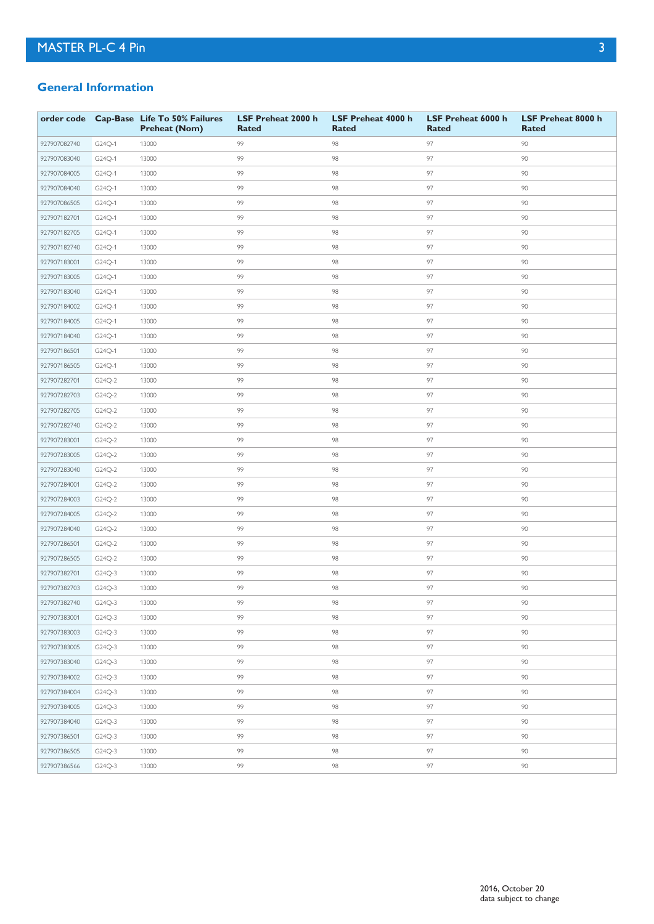### **General Information**

|              |        | order code Cap-Base Life To 50% Failures<br><b>Preheat (Nom)</b> | LSF Preheat 2000 h<br><b>Rated</b> | LSF Preheat 4000 h<br>Rated | LSF Preheat 6000 h<br><b>Rated</b> | LSF Preheat 8000 h<br><b>Rated</b> |
|--------------|--------|------------------------------------------------------------------|------------------------------------|-----------------------------|------------------------------------|------------------------------------|
| 927907082740 | G24Q-1 | 13000                                                            | 99                                 | 98                          | 97                                 | 90                                 |
| 927907083040 | G24Q-1 | 13000                                                            | 99                                 | 98                          | 97                                 | 90                                 |
| 927907084005 | G24Q-1 | 13000                                                            | 99                                 | 98                          | 97                                 | 90                                 |
| 927907084040 | G24Q-1 | 13000                                                            | 99                                 | 98                          | 97                                 | 90                                 |
| 927907086505 | G24Q-1 | 13000                                                            | 99                                 | 98                          | 97                                 | 90                                 |
| 927907182701 | G24Q-1 | 13000                                                            | 99                                 | 98                          | 97                                 | 90                                 |
| 927907182705 | G24Q-1 | 13000                                                            | 99                                 | 98                          | 97                                 | 90                                 |
| 927907182740 | G24Q-1 | 13000                                                            | 99                                 | 98                          | 97                                 | 90                                 |
| 927907183001 | G24Q-1 | 13000                                                            | 99                                 | 98                          | 97                                 | 90                                 |
| 927907183005 | G24Q-1 | 13000                                                            | 99                                 | 98                          | 97                                 | 90                                 |
| 927907183040 | G24Q-1 | 13000                                                            | 99                                 | 98                          | 97                                 | 90                                 |
| 927907184002 | G24Q-1 | 13000                                                            | 99                                 | 98                          | 97                                 | 90                                 |
| 927907184005 | G24Q-1 | 13000                                                            | 99                                 | 98                          | 97                                 | 90                                 |
| 927907184040 | G24Q-1 | 13000                                                            | 99                                 | 98                          | 97                                 | 90                                 |
| 927907186501 | G24Q-1 | 13000                                                            | 99                                 | 98                          | 97                                 | 90                                 |
| 927907186505 | G24Q-1 | 13000                                                            | 99                                 | 98                          | 97                                 | 90                                 |
| 927907282701 | G24Q-2 | 13000                                                            | 99                                 | 98                          | 97                                 | 90                                 |
| 927907282703 | G24Q-2 | 13000                                                            | 99                                 | 98                          | 97                                 | 90                                 |
| 927907282705 | G24Q-2 | 13000                                                            | 99                                 | 98                          | 97                                 | 90                                 |
| 927907282740 | G24Q-2 | 13000                                                            | 99                                 | 98                          | 97                                 | 90                                 |
| 927907283001 | G24Q-2 | 13000                                                            | 99                                 | 98                          | 97                                 | 90                                 |
| 927907283005 | G24Q-2 | 13000                                                            | 99                                 | 98                          | 97                                 | 90                                 |
| 927907283040 | G24Q-2 | 13000                                                            | 99                                 | 98                          | 97                                 | 90                                 |
| 927907284001 | G24Q-2 | 13000                                                            | 99                                 | 98                          | 97                                 | 90                                 |
| 927907284003 | G24Q-2 | 13000                                                            | 99                                 | 98                          | 97                                 | 90                                 |
| 927907284005 | G24Q-2 | 13000                                                            | 99                                 | 98                          | 97                                 | 90                                 |
| 927907284040 | G24Q-2 | 13000                                                            | 99                                 | 98                          | 97                                 | 90                                 |
| 927907286501 | G24Q-2 | 13000                                                            | 99                                 | 98                          | 97                                 | 90                                 |
| 927907286505 | G24Q-2 | 13000                                                            | 99                                 | 98                          | 97                                 | 90                                 |
| 927907382701 | G24Q-3 | 13000                                                            | 99                                 | 98                          | 97                                 | 90                                 |
| 927907382703 | G24Q-3 | 13000                                                            | 99                                 | 98                          | 97                                 | 90                                 |
| 927907382740 | G24Q-3 | 13000                                                            | 99                                 | 98                          | 97                                 | 90                                 |
| 927907383001 | G24Q-3 | 13000                                                            | 99                                 | 98                          | 97                                 | 90                                 |
| 927907383003 | G24Q-3 | 13000                                                            | 99                                 | 98                          | 97                                 | 90                                 |
| 927907383005 | G24Q-3 | 13000                                                            | 99                                 | 98                          | 97                                 | 90                                 |
| 927907383040 | G24Q-3 | 13000                                                            | 99                                 | 98                          | 97                                 | 90                                 |
| 927907384002 | G24Q-3 | 13000                                                            | 99                                 | 98                          | 97                                 | 90                                 |
| 927907384004 | G24Q-3 | 13000                                                            | 99                                 | 98                          | 97                                 | 90                                 |
| 927907384005 | G24Q-3 | 13000                                                            | 99                                 | 98                          | 97                                 | 90                                 |
| 927907384040 | G24Q-3 | 13000                                                            | 99                                 | 98                          | 97                                 | 90                                 |
| 927907386501 | G24Q-3 | 13000                                                            | 99                                 | 98                          | 97                                 | 90                                 |
| 927907386505 | G24Q-3 | 13000                                                            | 99                                 | 98                          | 97                                 | 90                                 |
| 927907386566 | G24Q-3 | 13000                                                            | 99                                 | 98                          | 97                                 | 90                                 |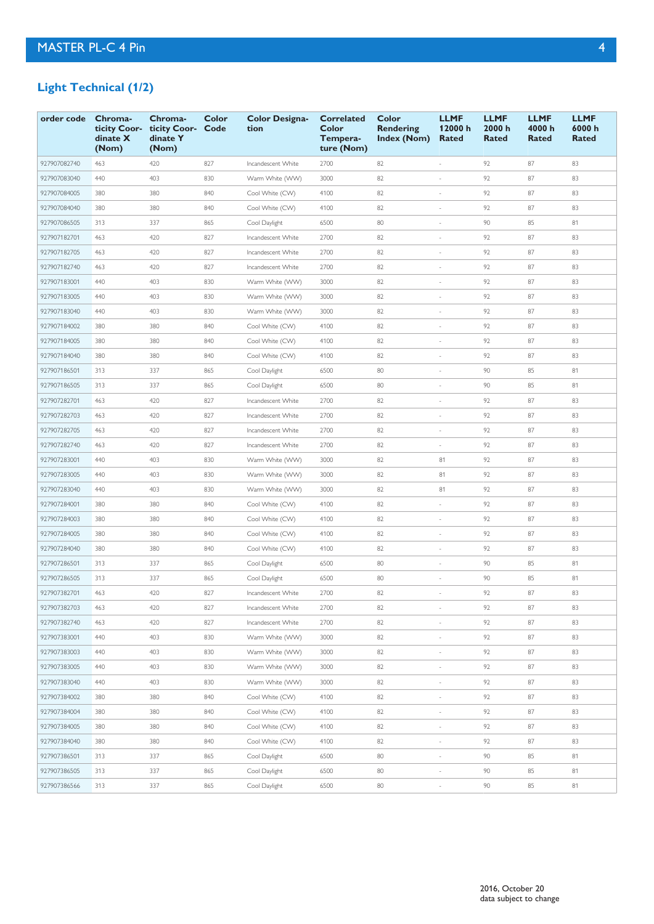# **Light Technical (1/2)**

| order code   | Chroma-<br>ticity Coor-<br>dinate X<br>(Nom) | Chroma-<br>ticity Coor-<br>dinate Y<br>(Nom) | Color<br>Code | <b>Color Designa-</b><br>tion | <b>Correlated</b><br>Color<br>Tempera-<br>ture (Nom) | Color<br><b>Rendering</b><br>Index (Nom) | <b>LLMF</b><br>12000 h<br>Rated | <b>LLMF</b><br>2000h<br><b>Rated</b> | <b>LLMF</b><br>4000 h<br>Rated | <b>LLMF</b><br>6000h<br>Rated |
|--------------|----------------------------------------------|----------------------------------------------|---------------|-------------------------------|------------------------------------------------------|------------------------------------------|---------------------------------|--------------------------------------|--------------------------------|-------------------------------|
| 927907082740 | 463                                          | 420                                          | 827           | Incandescent White            | 2700                                                 | 82                                       | ÷,                              | 92                                   | 87                             | 83                            |
| 927907083040 | 440                                          | 403                                          | 830           | Warm White (WW)               | 3000                                                 | 82                                       | $\overline{\phantom{a}}$        | 92                                   | 87                             | 83                            |
| 927907084005 | 380                                          | 380                                          | 840           | Cool White (CW)               | 4100                                                 | 82                                       |                                 | 92                                   | 87                             | 83                            |
| 927907084040 | 380                                          | 380                                          | 840           | Cool White (CW)               | 4100                                                 | 82                                       |                                 | 92                                   | 87                             | 83                            |
| 927907086505 | 313                                          | 337                                          | 865           | Cool Daylight                 | 6500                                                 | 80                                       | ÷,                              | 90                                   | 85                             | 81                            |
| 927907182701 | 463                                          | 420                                          | 827           | Incandescent White            | 2700                                                 | 82                                       | $\overline{\phantom{a}}$        | 92                                   | 87                             | 83                            |
| 927907182705 | 463                                          | 420                                          | 827           | Incandescent White            | 2700                                                 | 82                                       | ×,                              | 92                                   | 87                             | 83                            |
| 927907182740 | 463                                          | 420                                          | 827           | Incandescent White            | 2700                                                 | 82                                       | $\overline{\phantom{a}}$        | 92                                   | 87                             | 83                            |
| 927907183001 | 440                                          | 403                                          | 830           | Warm White (WW)               | 3000                                                 | 82                                       | ×,                              | 92                                   | 87                             | 83                            |
| 927907183005 | 440                                          | 403                                          | 830           | Warm White (WW)               | 3000                                                 | 82                                       | $\overline{\phantom{a}}$        | 92                                   | 87                             | 83                            |
| 927907183040 | 440                                          | 403                                          | 830           | Warm White (WW)               | 3000                                                 | 82                                       |                                 | 92                                   | 87                             | 83                            |
| 927907184002 | 380                                          | 380                                          | 840           | Cool White (CW)               | 4100                                                 | 82                                       |                                 | 92                                   | 87                             | 83                            |
| 927907184005 | 380                                          | 380                                          | 840           | Cool White (CW)               | 4100                                                 | 82                                       | ×,                              | 92                                   | 87                             | 83                            |
| 927907184040 | 380                                          | 380                                          | 840           | Cool White (CW)               | 4100                                                 | 82                                       | $\overline{\phantom{a}}$        | 92                                   | 87                             | 83                            |
| 927907186501 | 313                                          | 337                                          | 865           | Cool Daylight                 | 6500                                                 | 80                                       | ×,                              | 90                                   | 85                             | 81                            |
| 927907186505 | 313                                          | 337                                          | 865           | Cool Daylight                 | 6500                                                 | 80                                       | $\overline{\phantom{a}}$        | 90                                   | 85                             | 81                            |
| 927907282701 | 463                                          | 420                                          | 827           | Incandescent White            | 2700                                                 | 82                                       | ×,                              | 92                                   | 87                             | 83                            |
| 927907282703 | 463                                          | 420                                          | 827           | Incandescent White            | 2700                                                 | 82                                       | $\overline{\phantom{a}}$        | 92                                   | 87                             | 83                            |
| 927907282705 | 463                                          | 420                                          | 827           | Incandescent White            | 2700                                                 | 82                                       |                                 | 92                                   | 87                             | 83                            |
| 927907282740 | 463                                          | 420                                          | 827           | Incandescent White            | 2700                                                 | 82                                       | ×.                              | 92                                   | 87                             | 83                            |
| 927907283001 | 440                                          | 403                                          | 830           | Warm White (WW)               | 3000                                                 | 82                                       | 81                              | 92                                   | 87                             | 83                            |
| 927907283005 | 440                                          | 403                                          | 830           | Warm White (WW)               | 3000                                                 | 82                                       | 81                              | 92                                   | 87                             | 83                            |
| 927907283040 | 440                                          | 403                                          | 830           | Warm White (WW)               | 3000                                                 | 82                                       | 81                              | 92                                   | 87                             | 83                            |
| 927907284001 | 380                                          | 380                                          | 840           | Cool White (CW)               | 4100                                                 | 82                                       | $\sim$                          | 92                                   | 87                             | 83                            |
| 927907284003 | 380                                          | 380                                          | 840           | Cool White (CW)               | 4100                                                 | 82                                       | $\overline{\phantom{a}}$        | 92                                   | 87                             | 83                            |
| 927907284005 | 380                                          | 380                                          | 840           | Cool White (CW)               | 4100                                                 | 82                                       | $\sim$                          | 92                                   | 87                             | 83                            |
| 927907284040 | 380                                          | 380                                          | 840           | Cool White (CW)               | 4100                                                 | 82                                       |                                 | 92                                   | 87                             | 83                            |
| 927907286501 | 313                                          | 337                                          | 865           | Cool Daylight                 | 6500                                                 | 80                                       |                                 | 90                                   | 85                             | 81                            |
| 927907286505 | 313                                          | 337                                          | 865           | Cool Daylight                 | 6500                                                 | 80                                       |                                 | 90                                   | 85                             | 81                            |
| 927907382701 | 463                                          | 420                                          | 827           | Incandescent White            | 2700                                                 | 82                                       | ×.                              | 92                                   | 87                             | 83                            |
| 927907382703 | 463                                          | 420                                          | 827           | Incandescent White            | 2700                                                 | 82                                       |                                 | 92                                   | 87                             | 83                            |
| 927907382740 | 463                                          | 420                                          | 827           | Incandescent White            | 2700                                                 | 82                                       | ×.                              | 92                                   | 87                             | 83                            |
| 927907383001 | 440                                          | 403                                          | 830           | Warm White (WW)               | 3000                                                 | 82                                       | $\overline{\phantom{a}}$        | 92                                   | 87                             | 83                            |
| 927907383003 | 440                                          | 403                                          | 830           | Warm White (WW)               | 3000                                                 | 82                                       | $\overline{\phantom{a}}$        | 92                                   | 87                             | 83                            |
| 927907383005 | 440                                          | 403                                          | 830           | Warm White (WW)               | 3000                                                 | 82                                       | $\overline{\phantom{a}}$        | 92                                   | 87                             | 83                            |
| 927907383040 | 440                                          | 403                                          | 830           | Warm White (WW)               | 3000                                                 | 82                                       | $\sim$                          | 92                                   | 87                             | 83                            |
| 927907384002 | 380                                          | 380                                          | 840           | Cool White (CW)               | 4100                                                 | 82                                       | $\bar{\phantom{a}}$             | 92                                   | 87                             | 83                            |
| 927907384004 | 380                                          | 380                                          | 840           | Cool White (CW)               | 4100                                                 | 82                                       | $\overline{\phantom{a}}$        | 92                                   | 87                             | 83                            |
| 927907384005 | 380                                          | 380                                          | 840           | Cool White (CW)               | 4100                                                 | 82                                       | $\bar{\phantom{a}}$             | 92                                   | 87                             | 83                            |
| 927907384040 | 380                                          | 380                                          | 840           | Cool White (CW)               | 4100                                                 | 82                                       | $\overline{\phantom{a}}$        | 92                                   | 87                             | 83                            |
| 927907386501 | 313                                          | 337                                          | 865           | Cool Daylight                 | 6500                                                 | 80                                       | $\bar{\phantom{a}}$             | 90                                   | 85                             | 81                            |
| 927907386505 | 313                                          | 337                                          | 865           | Cool Daylight                 | 6500                                                 | 80                                       | $\overline{\phantom{a}}$        | 90                                   | 85                             | 81                            |
| 927907386566 | 313                                          | 337                                          | 865           | Cool Daylight                 | 6500                                                 | 80                                       | $\bar{\phantom{a}}$             | 90                                   | 85                             | 81                            |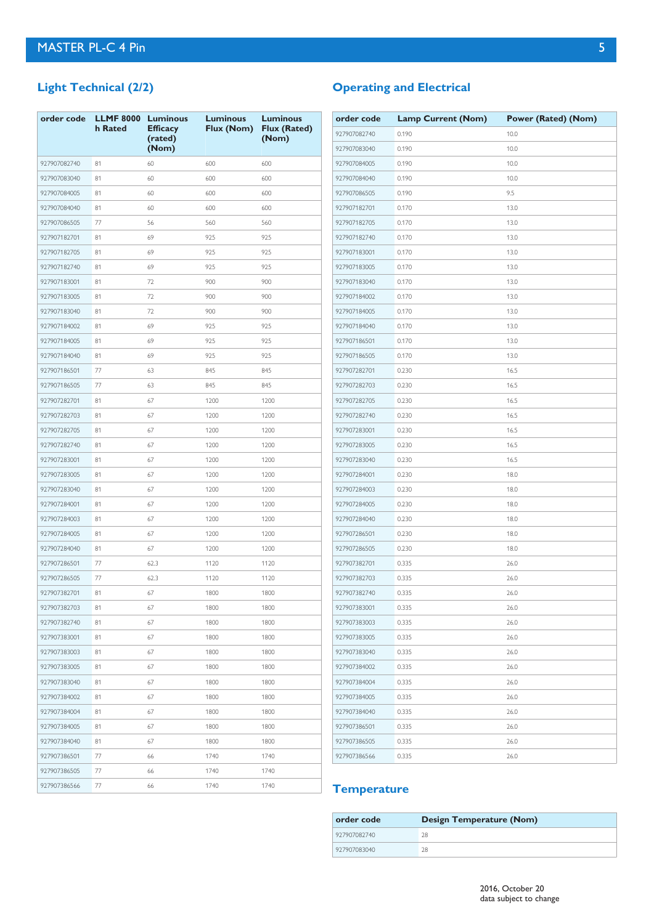# **Light Technical (2/2)**

| order code   | <b>LLMF 8000</b><br>h Rated | <b>Luminous</b><br><b>Efficacy</b><br>(rated)<br>(Nom) | <b>Luminous</b><br>Flux (Nom) | <b>Luminous</b><br><b>Flux (Rated)</b><br>(Nom) |
|--------------|-----------------------------|--------------------------------------------------------|-------------------------------|-------------------------------------------------|
| 927907082740 | 81                          | 60                                                     | 600                           | 600                                             |
| 927907083040 | 81                          | 60                                                     | 600                           | 600                                             |
| 927907084005 | 81                          | 60                                                     | 600                           | 600                                             |
| 927907084040 | 81                          | 60                                                     | 600                           | 600                                             |
| 927907086505 | 77                          | 56                                                     | 560                           | 560                                             |
| 927907182701 | 81                          | 69                                                     | 925                           | 925                                             |
| 927907182705 | 81                          | 69                                                     | 925                           | 925                                             |
| 927907182740 | 81                          | 69                                                     | 925                           | 925                                             |
| 927907183001 | 81                          | 72                                                     | 900                           | 900                                             |
| 927907183005 | 81                          | 72                                                     | 900                           | 900                                             |
| 927907183040 | 81                          | 72                                                     | 900                           | 900                                             |
| 927907184002 | 81                          | 69                                                     | 925                           | 925                                             |
| 927907184005 | 81                          | 69                                                     | 925                           | 925                                             |
| 927907184040 | 81                          | 69                                                     | 925                           | 925                                             |
| 927907186501 | 77                          | 63                                                     | 845                           | 845                                             |
| 927907186505 | 77                          | 63                                                     | 845                           | 845                                             |
| 927907282701 | 81                          | 67                                                     | 1200                          | 1200                                            |
| 927907282703 | 81                          | 67                                                     | 1200                          | 1200                                            |
| 927907282705 | 81                          | 67                                                     | 1200                          | 1200                                            |
| 927907282740 | 81                          | 67                                                     | 1200                          | 1200                                            |
| 927907283001 | 81                          | 67                                                     | 1200                          | 1200                                            |
| 927907283005 | 81                          | 67                                                     | 1200                          | 1200                                            |
| 927907283040 | 81                          | 67                                                     | 1200                          | 1200                                            |
| 927907284001 | 81                          | 67                                                     | 1200                          | 1200                                            |
| 927907284003 | 81                          | 67                                                     | 1200                          | 1200                                            |
| 927907284005 | 81                          | 67                                                     | 1200                          | 1200                                            |
| 927907284040 | 81                          | 67                                                     | 1200                          | 1200                                            |
| 927907286501 | 77                          | 62.3                                                   | 1120                          | 1120                                            |
| 927907286505 | 77                          | 62.3                                                   | 1120                          | 1120                                            |
| 927907382701 | 81                          | 67                                                     | 1800                          | 1800                                            |
| 927907382703 | 81                          | 67                                                     | 1800                          | 1800                                            |
| 927907382740 | 81                          | 67                                                     | 1800                          | 1800                                            |
| 927907383001 | 81                          | 67                                                     | 1800                          | 1800                                            |
| 927907383003 | 81                          | 67                                                     | 1800                          | 1800                                            |
| 927907383005 | 81                          | 67                                                     | 1800                          | 1800                                            |
| 927907383040 | 81                          | 67                                                     | 1800                          | 1800                                            |
| 927907384002 | 81                          | 67                                                     | 1800                          | 1800                                            |
| 927907384004 | 81                          | 67                                                     | 1800                          | 1800                                            |
| 927907384005 | 81                          | 67                                                     | 1800                          | 1800                                            |
| 927907384040 | 81                          | 67                                                     | 1800                          | 1800                                            |
| 927907386501 | 77                          | 66                                                     | 1740                          | 1740                                            |
| 927907386505 | 77                          | 66                                                     | 1740                          | 1740                                            |
| 927907386566 | 77                          | 66                                                     | 1740                          | 1740                                            |

# **Operating and Electrical**

| order code   | <b>Lamp Current (Nom)</b> | Power (Rated) (Nom) |
|--------------|---------------------------|---------------------|
| 927907082740 | 0.190                     | 10.0                |
| 927907083040 | 0.190                     | 10.0                |
| 927907084005 | 0.190                     | 10.0                |
| 927907084040 | 0.190                     | 10.0                |
| 927907086505 | 0.190                     | 9.5                 |
| 927907182701 | 0.170                     | 13.0                |
| 927907182705 | 0.170                     | 13.0                |
| 927907182740 | 0.170                     | 13.0                |
| 927907183001 | 0.170                     | 13.0                |
| 927907183005 | 0.170                     | 13.0                |
| 927907183040 | 0.170                     | 13.0                |
| 927907184002 | 0.170                     | 13.0                |
| 927907184005 | 0.170                     | 13.0                |
| 927907184040 | 0.170                     | 13.0                |
| 927907186501 | 0.170                     | 13.0                |
| 927907186505 | 0.170                     | 13.0                |
| 927907282701 | 0.230                     | 16.5                |
| 927907282703 | 0.230                     | 16.5                |
| 927907282705 | 0.230                     | 16.5                |
| 927907282740 | 0.230                     | 16.5                |
| 927907283001 | 0.230                     | 16.5                |
| 927907283005 | 0.230                     | 16.5                |
| 927907283040 | 0.230                     | 16.5                |
| 927907284001 | 0.230                     | 18.0                |
| 927907284003 | 0.230                     | 18.0                |
| 927907284005 | 0.230                     | 18.0                |
| 927907284040 | 0.230                     | 18.0                |
| 927907286501 | 0.230                     | 18.0                |
| 927907286505 | 0.230                     | 18.0                |
| 927907382701 | 0.335                     | 26.0                |
| 927907382703 | 0.335                     | 26.0                |
| 927907382740 | 0.335                     | 26.0                |
| 927907383001 | 0.335                     | 26.0                |
| 927907383003 | 0.335                     | 26.0                |
| 927907383005 | 0.335                     | 26.0                |
| 927907383040 | 0.335                     | 26.0                |
| 927907384002 | 0.335                     | 26.0                |
| 927907384004 | 0.335                     | 26.0                |
| 927907384005 | 0.335                     | 26.0                |
| 927907384040 | 0.335                     | 26.0                |
| 927907386501 | 0.335                     | 26.0                |
| 927907386505 | 0.335                     | 26.0                |
| 927907386566 | 0.335                     | 26.0                |

## **Temperature**

| order code   | <b>Design Temperature (Nom)</b> |
|--------------|---------------------------------|
| 927907082740 | 28                              |
| 927907083040 | 28                              |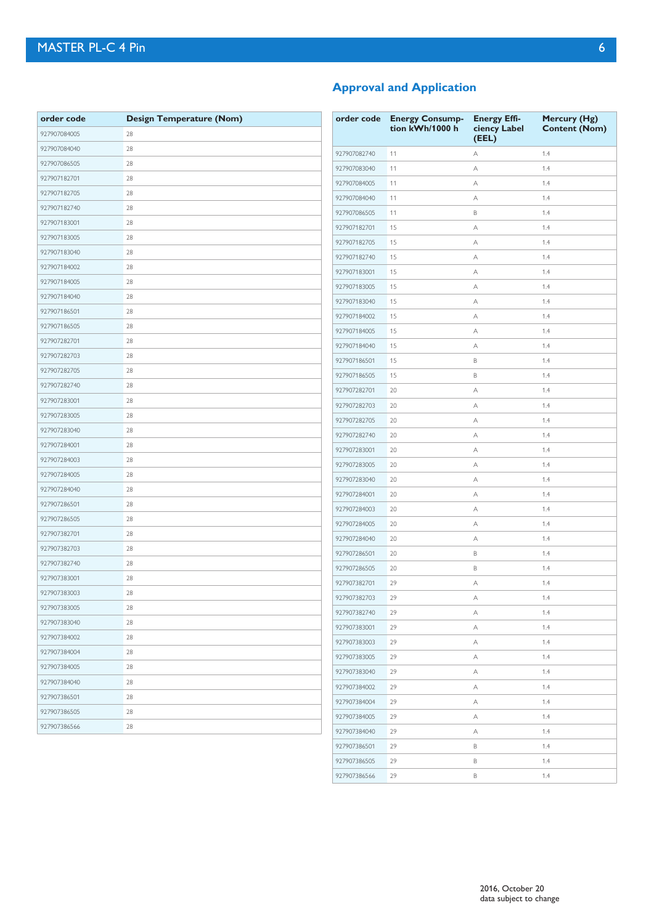| order code   | <b>Design Temperature (Nom)</b> | orde  |
|--------------|---------------------------------|-------|
| 927907084005 | 28                              |       |
| 927907084040 | 28                              | 92790 |
| 927907086505 | 28                              | 92790 |
| 927907182701 | 28                              | 92790 |
| 927907182705 | 28                              | 92790 |
| 927907182740 | 28                              | 92790 |
| 927907183001 | 28                              | 92790 |
| 927907183005 | 28                              | 92790 |
| 927907183040 | 28                              | 92790 |
| 927907184002 | 28                              | 92790 |
| 927907184005 | 28                              | 92790 |
| 927907184040 | 28                              | 92790 |
| 927907186501 | 28                              | 92790 |
| 927907186505 | 28                              | 92790 |
| 927907282701 | 28                              | 92790 |
| 927907282703 | 28                              | 92790 |
| 927907282705 | 28                              | 92790 |
| 927907282740 | 28                              | 92790 |
| 927907283001 | 28                              | 92790 |
| 927907283005 | 28                              | 92790 |
| 927907283040 | 28                              | 92790 |
| 927907284001 | 28                              | 92790 |
| 927907284003 | 28                              | 92790 |
| 927907284005 | 28                              | 92790 |
| 927907284040 | 28                              | 92790 |
| 927907286501 | 28                              | 92790 |
| 927907286505 | 28                              | 92790 |
| 927907382701 | 28                              | 92790 |
| 927907382703 | 28                              | 92790 |
| 927907382740 | 28                              | 92790 |
| 927907383001 | 28                              | 92790 |
| 927907383003 | 28                              | 92790 |
| 927907383005 | 28                              | 92790 |
| 927907383040 | 28                              | 92790 |
| 927907384002 | 28                              | 92790 |
| 927907384004 | 28                              | 92790 |
| 927907384005 | 28                              | 92790 |
| 927907384040 | 28                              | 92790 |
| 927907386501 | 28                              | 92790 |
| 927907386505 | 28                              | 92790 |
| 927907386566 | 28                              | 92790 |
|              |                                 |       |

## **Approval and Application**

| order code   | <b>Energy Consump-</b><br>tion kWh/1000 h | <b>Energy Effi-</b><br>ciency Label<br>(EEL) | Mercury (Hg)<br><b>Content (Nom)</b> |
|--------------|-------------------------------------------|----------------------------------------------|--------------------------------------|
| 927907082740 | 11                                        | Α                                            | 1.4                                  |
| 927907083040 | 11                                        | Α                                            | 1.4                                  |
| 927907084005 | 11                                        | Α                                            | 1.4                                  |
| 927907084040 | 11                                        | Α                                            | 1.4                                  |
| 927907086505 | 11                                        | В                                            | 1.4                                  |
| 927907182701 | 15                                        | Α                                            | 1.4                                  |
| 927907182705 | 15                                        | Α                                            | 1.4                                  |
| 927907182740 | 15                                        | Α                                            | 1.4                                  |
| 927907183001 | 15                                        | Α                                            | 1.4                                  |
| 927907183005 | 15                                        | Α                                            | 1.4                                  |
| 927907183040 | 15                                        | Α                                            | 1.4                                  |
| 927907184002 | 15                                        | Α                                            | 1.4                                  |
| 927907184005 | 15                                        | Α                                            | 1.4                                  |
| 927907184040 | 15                                        | Α                                            | 1.4                                  |
| 927907186501 | 15                                        | B                                            | 1.4                                  |
| 927907186505 | 15                                        | B                                            | 1.4                                  |
| 927907282701 | 20                                        | Α                                            | 1.4                                  |
| 927907282703 | 20                                        | Α                                            | 1.4                                  |
| 927907282705 | 20                                        | Α                                            | 1.4                                  |
| 927907282740 | 20                                        | Α                                            | 1.4                                  |
| 927907283001 | 20                                        | Α                                            | 1.4                                  |
| 927907283005 | 20                                        | Α                                            | 1.4                                  |
| 927907283040 | 20                                        | Α                                            | 1.4                                  |
| 927907284001 | 20                                        | Α                                            | 1.4                                  |
| 927907284003 | 20                                        | Α                                            | 1.4                                  |
| 927907284005 | 20                                        | Α                                            | 1.4                                  |
| 927907284040 | 20                                        | Α                                            | 1.4                                  |
| 927907286501 | 20                                        | B                                            | 1.4                                  |
| 927907286505 | 20                                        | В                                            | 1.4                                  |
| 927907382701 | 29                                        | А                                            | 1.4                                  |
| 927907382703 | 29                                        | Α                                            | 1.4                                  |
| 927907382740 | 29                                        | А                                            | 1.4                                  |
| 927907383001 | 29                                        | Α                                            | 1.4                                  |
| 927907383003 | 29                                        | Α                                            | 1.4                                  |
| 927907383005 | 29                                        | Α                                            | 1.4                                  |
| 927907383040 | 29                                        | Α                                            | 1.4                                  |
| 927907384002 | 29                                        | Α                                            | 1.4                                  |
| 927907384004 | 29                                        | Α                                            | 1.4                                  |
| 927907384005 | 29                                        | Α                                            | 1.4                                  |
| 927907384040 | 29                                        | Α                                            | 1.4                                  |
| 927907386501 | 29                                        | В                                            | 1.4                                  |
| 927907386505 | 29                                        | В                                            | 1.4                                  |
| 927907386566 | 29                                        | В                                            | 1.4                                  |